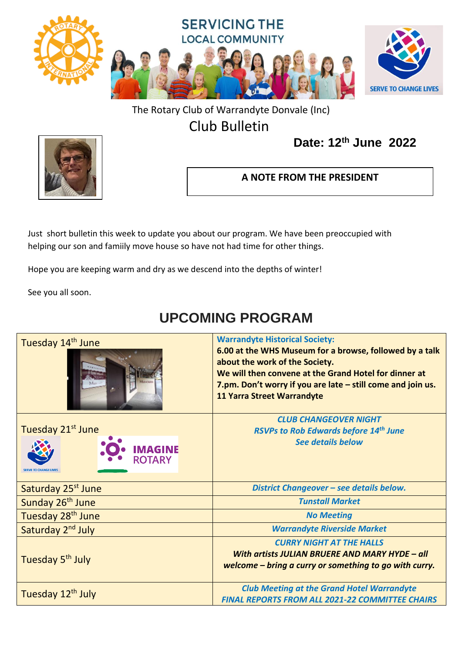

### The Rotary Club of Warrandyte Donvale (Inc)

### Club Bulletin

### **Date: 12th June 2022**



### **A NOTE FROM THE PRESIDENT**

Just short bulletin this week to update you about our program. We have been preoccupied with helping our son and famiily move house so have not had time for other things.

Hope you are keeping warm and dry as we descend into the depths of winter!

See you all soon.

# **UPCOMING PROGRAM**

| Tuesday 14 <sup>th</sup> June                        | <b>Warrandyte Historical Society:</b><br>6.00 at the WHS Museum for a browse, followed by a talk<br>about the work of the Society.<br>We will then convene at the Grand Hotel for dinner at<br>7.pm. Don't worry if you are late - still come and join us.<br><b>11 Yarra Street Warrandyte</b> |
|------------------------------------------------------|-------------------------------------------------------------------------------------------------------------------------------------------------------------------------------------------------------------------------------------------------------------------------------------------------|
| Tuesday 21st June<br><b>IMAGINE</b><br><b>ROTARY</b> | <b>CLUB CHANGEOVER NIGHT</b><br><b>RSVPs to Rob Edwards before 14th June</b><br><b>See details below</b>                                                                                                                                                                                        |
| Saturday 25 <sup>st</sup> June                       | District Changeover - see details below.                                                                                                                                                                                                                                                        |
| Sunday 26 <sup>th</sup> June                         | <b>Tunstall Market</b>                                                                                                                                                                                                                                                                          |
| Tuesday 28 <sup>th</sup> June                        | <b>No Meeting</b>                                                                                                                                                                                                                                                                               |
| Saturday 2 <sup>nd</sup> July                        | <b>Warrandyte Riverside Market</b>                                                                                                                                                                                                                                                              |
| Tuesday 5 <sup>th</sup> July                         | <b>CURRY NIGHT AT THE HALLS</b><br>With artists JULIAN BRUERE AND MARY HYDE - all<br>welcome – bring a curry or something to go with curry.                                                                                                                                                     |
| Tuesday 12 <sup>th</sup> July                        | <b>Club Meeting at the Grand Hotel Warrandyte</b><br><b>FINAL REPORTS FROM ALL 2021-22 COMMITTEE CHAIRS</b>                                                                                                                                                                                     |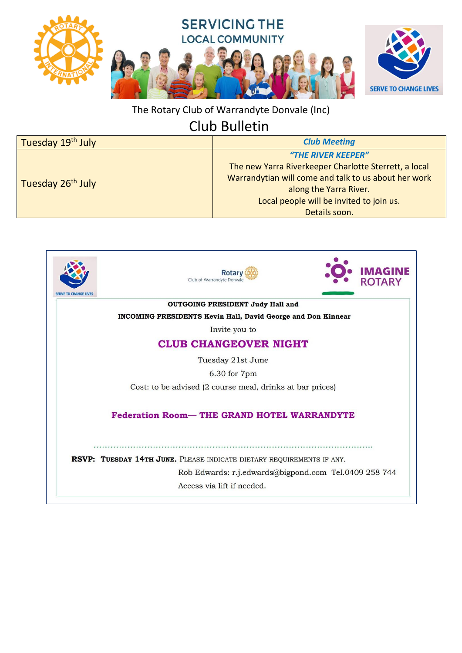

The Rotary Club of Warrandyte Donvale (Inc)

## Club Bulletin

| Tuesday 19 <sup>th</sup> July | <b>Club Meeting</b>                                   |
|-------------------------------|-------------------------------------------------------|
| Tuesday 26 <sup>th</sup> July | "THE RIVER KEEPER"                                    |
|                               | The new Yarra Riverkeeper Charlotte Sterrett, a local |
|                               | Warrandytian will come and talk to us about her work  |
|                               | along the Yarra River.                                |
|                               | Local people will be invited to join us.              |
|                               | Details soon.                                         |

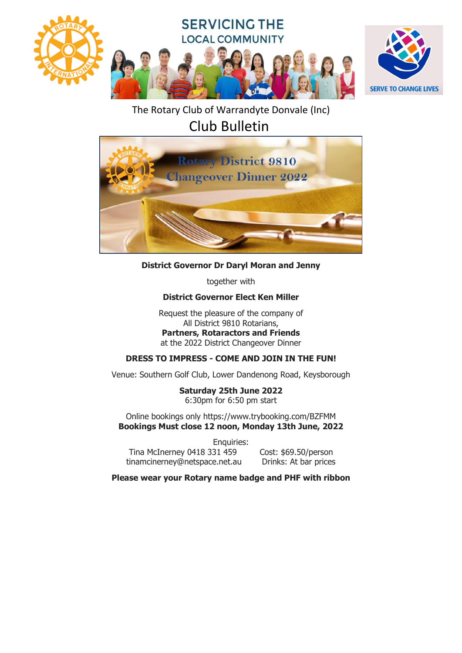

The Rotary Club of Warrandyte Donvale (Inc)

Club Bulletin



#### **District Governor Dr Daryl Moran and Jenny**

together with

#### **District Governor Elect Ken Miller**

Request the pleasure of the company of All District 9810 Rotarians, **Partners, Rotaractors and Friends** at the 2022 District Changeover Dinner

#### **DRESS TO IMPRESS - COME AND JOIN IN THE FUN!**

Venue: Southern Golf Club, Lower Dandenong Road, Keysborough

**Saturday 25th June 2022** 6:30pm for 6:50 pm start

Online bookings only https://www.trybooking.com/BZFMM **Bookings Must close 12 noon, Monday 13th June, 2022**

Enquiries: Tina McInerney 0418 331 459 Cost: \$69.50/person tinamcinerney@netspace.net.au Drinks: At bar prices

**Please wear your Rotary name badge and PHF with ribbon**